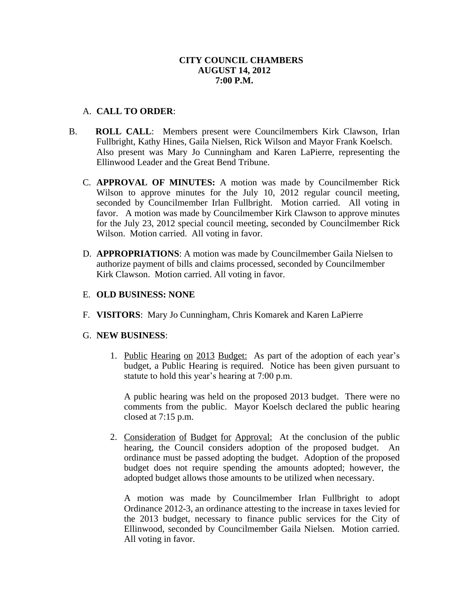# **CITY COUNCIL CHAMBERS AUGUST 14, 2012 7:00 P.M.**

# A. **CALL TO ORDER**:

- B. **ROLL CALL**: Members present were Councilmembers Kirk Clawson, Irlan Fullbright, Kathy Hines, Gaila Nielsen, Rick Wilson and Mayor Frank Koelsch. Also present was Mary Jo Cunningham and Karen LaPierre, representing the Ellinwood Leader and the Great Bend Tribune.
	- C. **APPROVAL OF MINUTES:** A motion was made by Councilmember Rick Wilson to approve minutes for the July 10, 2012 regular council meeting, seconded by Councilmember Irlan Fullbright. Motion carried. All voting in favor. A motion was made by Councilmember Kirk Clawson to approve minutes for the July 23, 2012 special council meeting, seconded by Councilmember Rick Wilson. Motion carried. All voting in favor.
	- D. **APPROPRIATIONS**: A motion was made by Councilmember Gaila Nielsen to authorize payment of bills and claims processed, seconded by Councilmember Kirk Clawson. Motion carried. All voting in favor.

### E. **OLD BUSINESS: NONE**

F. **VISITORS**: Mary Jo Cunningham, Chris Komarek and Karen LaPierre

#### G. **NEW BUSINESS**:

1. Public Hearing on 2013 Budget: As part of the adoption of each year's budget, a Public Hearing is required. Notice has been given pursuant to statute to hold this year's hearing at 7:00 p.m.

A public hearing was held on the proposed 2013 budget. There were no comments from the public. Mayor Koelsch declared the public hearing closed at 7:15 p.m.

2. Consideration of Budget for Approval: At the conclusion of the public hearing, the Council considers adoption of the proposed budget. An ordinance must be passed adopting the budget. Adoption of the proposed budget does not require spending the amounts adopted; however, the adopted budget allows those amounts to be utilized when necessary.

A motion was made by Councilmember Irlan Fullbright to adopt Ordinance 2012-3, an ordinance attesting to the increase in taxes levied for the 2013 budget, necessary to finance public services for the City of Ellinwood, seconded by Councilmember Gaila Nielsen. Motion carried. All voting in favor.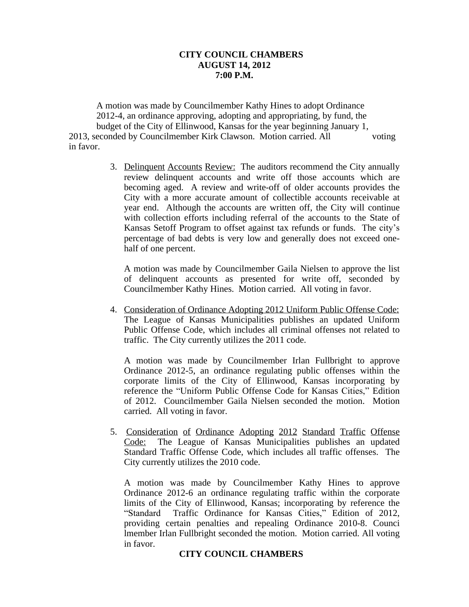#### **CITY COUNCIL CHAMBERS AUGUST 14, 2012 7:00 P.M.**

A motion was made by Councilmember Kathy Hines to adopt Ordinance 2012-4, an ordinance approving, adopting and appropriating, by fund, the budget of the City of Ellinwood, Kansas for the year beginning January 1, 2013, seconded by Councilmember Kirk Clawson. Motion carried. All voting in favor.

> 3. Delinquent Accounts Review: The auditors recommend the City annually review delinquent accounts and write off those accounts which are becoming aged. A review and write-off of older accounts provides the City with a more accurate amount of collectible accounts receivable at year end. Although the accounts are written off, the City will continue with collection efforts including referral of the accounts to the State of Kansas Setoff Program to offset against tax refunds or funds. The city's percentage of bad debts is very low and generally does not exceed onehalf of one percent.

A motion was made by Councilmember Gaila Nielsen to approve the list of delinquent accounts as presented for write off, seconded by Councilmember Kathy Hines. Motion carried. All voting in favor.

4. Consideration of Ordinance Adopting 2012 Uniform Public Offense Code: The League of Kansas Municipalities publishes an updated Uniform Public Offense Code, which includes all criminal offenses not related to traffic. The City currently utilizes the 2011 code.

A motion was made by Councilmember Irlan Fullbright to approve Ordinance 2012-5, an ordinance regulating public offenses within the corporate limits of the City of Ellinwood, Kansas incorporating by reference the "Uniform Public Offense Code for Kansas Cities," Edition of 2012. Councilmember Gaila Nielsen seconded the motion. Motion carried. All voting in favor.

5. Consideration of Ordinance Adopting 2012 Standard Traffic Offense Code: The League of Kansas Municipalities publishes an updated Standard Traffic Offense Code, which includes all traffic offenses. The City currently utilizes the 2010 code.

A motion was made by Councilmember Kathy Hines to approve Ordinance 2012-6 an ordinance regulating traffic within the corporate limits of the City of Ellinwood, Kansas; incorporating by reference the "Standard Traffic Ordinance for Kansas Cities," Edition of 2012, providing certain penalties and repealing Ordinance 2010-8. Counci lmember Irlan Fullbright seconded the motion. Motion carried. All voting in favor.

# **CITY COUNCIL CHAMBERS**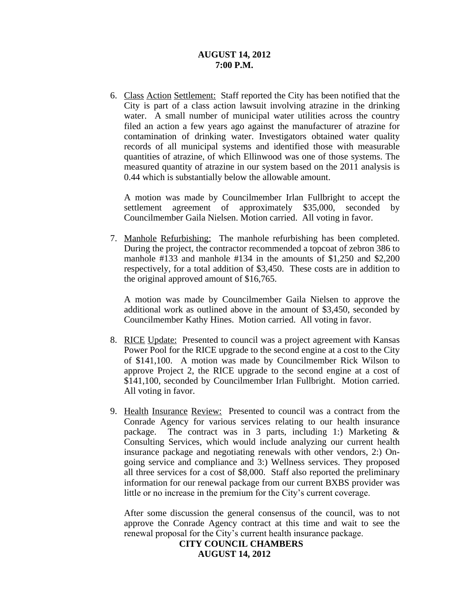#### **AUGUST 14, 2012 7:00 P.M.**

6. Class Action Settlement: Staff reported the City has been notified that the City is part of a class action lawsuit involving atrazine in the drinking water. A small number of municipal water utilities across the country filed an action a few years ago against the manufacturer of atrazine for contamination of drinking water. Investigators obtained water quality records of all municipal systems and identified those with measurable quantities of atrazine, of which Ellinwood was one of those systems. The measured quantity of atrazine in our system based on the 2011 analysis is 0.44 which is substantially below the allowable amount.

A motion was made by Councilmember Irlan Fullbright to accept the settlement agreement of approximately \$35,000, seconded by Councilmember Gaila Nielsen. Motion carried. All voting in favor.

7. Manhole Refurbishing: The manhole refurbishing has been completed. During the project, the contractor recommended a topcoat of zebron 386 to manhole #133 and manhole #134 in the amounts of \$1,250 and \$2,200 respectively, for a total addition of \$3,450. These costs are in addition to the original approved amount of \$16,765.

A motion was made by Councilmember Gaila Nielsen to approve the additional work as outlined above in the amount of \$3,450, seconded by Councilmember Kathy Hines. Motion carried. All voting in favor.

- 8. RICE Update: Presented to council was a project agreement with Kansas Power Pool for the RICE upgrade to the second engine at a cost to the City of \$141,100. A motion was made by Councilmember Rick Wilson to approve Project 2, the RICE upgrade to the second engine at a cost of \$141,100, seconded by Councilmember Irlan Fullbright. Motion carried. All voting in favor.
- 9. Health Insurance Review: Presented to council was a contract from the Conrade Agency for various services relating to our health insurance package. The contract was in 3 parts, including 1:) Marketing & Consulting Services, which would include analyzing our current health insurance package and negotiating renewals with other vendors, 2:) Ongoing service and compliance and 3:) Wellness services. They proposed all three services for a cost of \$8,000. Staff also reported the preliminary information for our renewal package from our current BXBS provider was little or no increase in the premium for the City's current coverage.

After some discussion the general consensus of the council, was to not approve the Conrade Agency contract at this time and wait to see the renewal proposal for the City's current health insurance package.

> **CITY COUNCIL CHAMBERS AUGUST 14, 2012**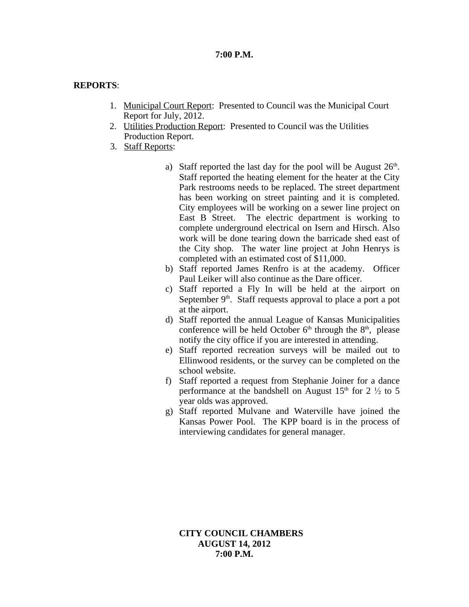# **7:00 P.M.**

### **REPORTS**:

- 1. Municipal Court Report: Presented to Council was the Municipal Court Report for July, 2012.
- 2. Utilities Production Report: Presented to Council was the Utilities Production Report.
- 3. Staff Reports:
	- a) Staff reported the last day for the pool will be August  $26<sup>th</sup>$ . Staff reported the heating element for the heater at the City Park restrooms needs to be replaced. The street department has been working on street painting and it is completed. City employees will be working on a sewer line project on East B Street. The electric department is working to complete underground electrical on Isern and Hirsch. Also work will be done tearing down the barricade shed east of the City shop. The water line project at John Henrys is completed with an estimated cost of \$11,000.
	- b) Staff reported James Renfro is at the academy. Officer Paul Leiker will also continue as the Dare officer.
	- c) Staff reported a Fly In will be held at the airport on September 9<sup>th</sup>. Staff requests approval to place a port a pot at the airport.
	- d) Staff reported the annual League of Kansas Municipalities conference will be held October  $6<sup>th</sup>$  through the  $8<sup>th</sup>$ , please notify the city office if you are interested in attending.
	- e) Staff reported recreation surveys will be mailed out to Ellinwood residents, or the survey can be completed on the school website.
	- f) Staff reported a request from Stephanie Joiner for a dance performance at the bandshell on August  $15<sup>th</sup>$  for  $2\frac{1}{2}$  to 5 year olds was approved.
	- g) Staff reported Mulvane and Waterville have joined the Kansas Power Pool. The KPP board is in the process of interviewing candidates for general manager.

**CITY COUNCIL CHAMBERS AUGUST 14, 2012 7:00 P.M.**